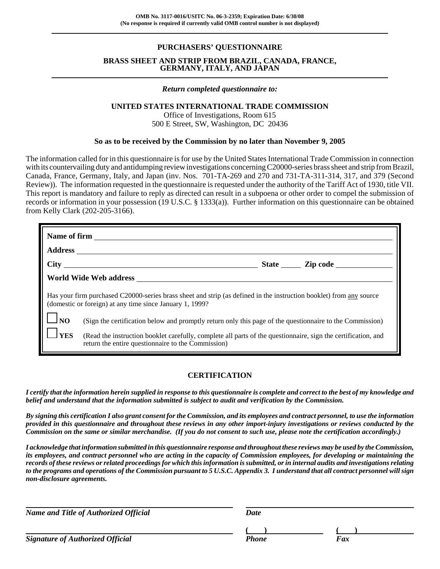### **PURCHASERS' QUESTIONNAIRE**

#### **BRASS SHEET AND STRIP FROM BRAZIL, CANADA, FRANCE, GERMANY, ITALY, AND JAPAN**

#### *Return completed questionnaire to:*

#### **UNITED STATES INTERNATIONAL TRADE COMMISSION**

Office of Investigations, Room 615 500 E Street, SW, Washington, DC 20436

#### **So as to be received by the Commission by no later than November 9, 2005**

The information called for in this questionnaire is for use by the United States International Trade Commission in connection with its countervailing duty and antidumping review investigations concerning C20000-series brass sheet and strip from Brazil, Canada, France, Germany, Italy, and Japan (inv. Nos. 701-TA-269 and 270 and 731-TA-311-314, 317, and 379 (Second Review)). The information requested in the questionnaire is requested under the authority of the Tariff Act of 1930, title VII. This report is mandatory and failure to reply as directed can result in a subpoena or other order to compel the submission of records or information in your possession (19 U.S.C. § 1333(a)). Further information on this questionnaire can be obtained from Kelly Clark (202-205-3166).

|                    | World Wide Web address                                                                                                                                                          |  |  |  |  |
|--------------------|---------------------------------------------------------------------------------------------------------------------------------------------------------------------------------|--|--|--|--|
|                    | Has your firm purchased C20000-series brass sheet and strip (as defined in the instruction booklet) from any source<br>(domestic or foreign) at any time since January 1, 1999? |  |  |  |  |
| $\Box_{\text{NO}}$ | (Sign the certification below and promptly return only this page of the questionnaire to the Commission)                                                                        |  |  |  |  |
| $1_{\rm{YES}}$     | (Read the instruction booklet carefully, complete all parts of the questionnaire, sign the certification, and<br>return the entire questionnaire to the Commission)             |  |  |  |  |

### **CERTIFICATION**

*I certify that the information herein supplied in response to this questionnaire is complete and correct to the best of my knowledge and belief and understand that the information submitted is subject to audit and verification by the Commission.*

*By signing this certification I also grant consent for the Commission, and its employees and contract personnel, to use the information provided in this questionnaire and throughout these reviews in any other import-injury investigations or reviews conducted by the Commission on the same or similar merchandise. (If you do not consent to such use, please note the certification accordingly.)*

*I acknowledge that information submitted in this questionnaire response and throughout these reviews may be used by the Commission, its employees, and contract personnel who are acting in the capacity of Commission employees, for developing or maintaining the records of these reviews or related proceedings for which this information is submitted, or in internal audits and investigations relating to the programs and operations of the Commission pursuant to 5 U.S.C. Appendix 3. I understand that all contract personnel will sign non-disclosure agreements.*

*Name and Title of Authorized Official* Date Date

**( ) ( )**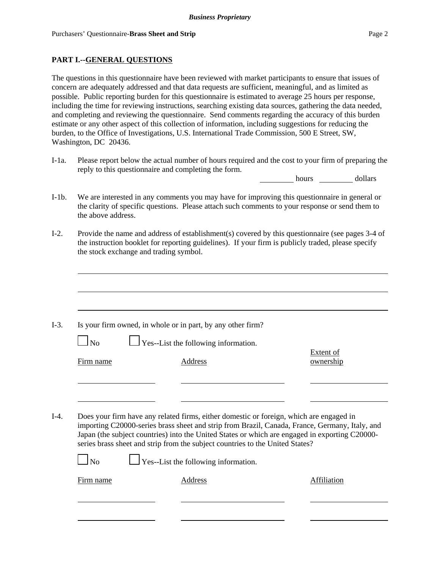### **PART I.--GENERAL QUESTIONS**

The questions in this questionnaire have been reviewed with market participants to ensure that issues of concern are adequately addressed and that data requests are sufficient, meaningful, and as limited as possible. Public reporting burden for this questionnaire is estimated to average 25 hours per response, including the time for reviewing instructions, searching existing data sources, gathering the data needed, and completing and reviewing the questionnaire. Send comments regarding the accuracy of this burden estimate or any other aspect of this collection of information, including suggestions for reducing the burden, to the Office of Investigations, U.S. International Trade Commission, 500 E Street, SW, Washington, DC 20436.

I-1a. Please report below the actual number of hours required and the cost to your firm of preparing the reply to this questionnaire and completing the form.

hours dollars

- I-1b. We are interested in any comments you may have for improving this questionnaire in general or the clarity of specific questions. Please attach such comments to your response or send them to the above address.
- I-2. Provide the name and address of establishment(s) covered by this questionnaire (see pages 3-4 of the instruction booklet for reporting guidelines). If your firm is publicly traded, please specify the stock exchange and trading symbol.

|           | Is your firm owned, in whole or in part, by any other firm?                                                                                                                                                                                                                                                                                                                                                                 |                        |
|-----------|-----------------------------------------------------------------------------------------------------------------------------------------------------------------------------------------------------------------------------------------------------------------------------------------------------------------------------------------------------------------------------------------------------------------------------|------------------------|
| $\Box$ No | $\Box$ Yes--List the following information.                                                                                                                                                                                                                                                                                                                                                                                 |                        |
| Firm name | <b>Address</b>                                                                                                                                                                                                                                                                                                                                                                                                              | Extent of<br>ownership |
|           |                                                                                                                                                                                                                                                                                                                                                                                                                             |                        |
|           |                                                                                                                                                                                                                                                                                                                                                                                                                             |                        |
|           |                                                                                                                                                                                                                                                                                                                                                                                                                             |                        |
| $\ln$     | Does your firm have any related firms, either domestic or foreign, which are engaged in<br>importing C20000-series brass sheet and strip from Brazil, Canada, France, Germany, Italy, and<br>Japan (the subject countries) into the United States or which are engaged in exporting C20000-<br>series brass sheet and strip from the subject countries to the United States?<br>$\Box$ Yes--List the following information. |                        |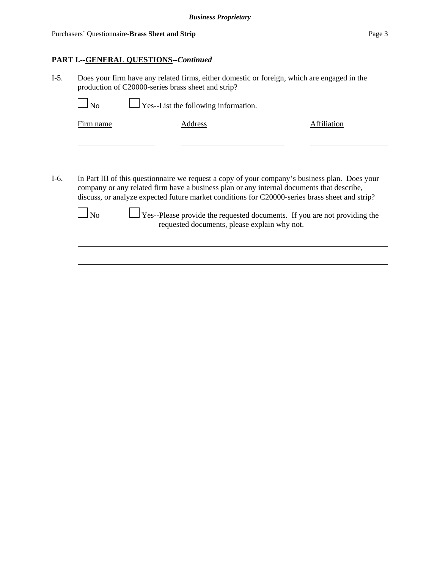### **PART I.--GENERAL QUESTIONS--***Continued*

I-5. Does your firm have any related firms, either domestic or foreign, which are engaged in the production of C20000-series brass sheet and strip?

No  $\Box$  Yes--List the following information.

Firm name Address Address Address Affiliation

I-6. In Part III of this questionnaire we request a copy of your company's business plan. Does your company or any related firm have a business plan or any internal documents that describe, discuss, or analyze expected future market conditions for C20000-series brass sheet and strip?

 $\Box$  No  $\Box$  Yes--Please provide the requested documents. If you are not providing the requested documents, please explain why not.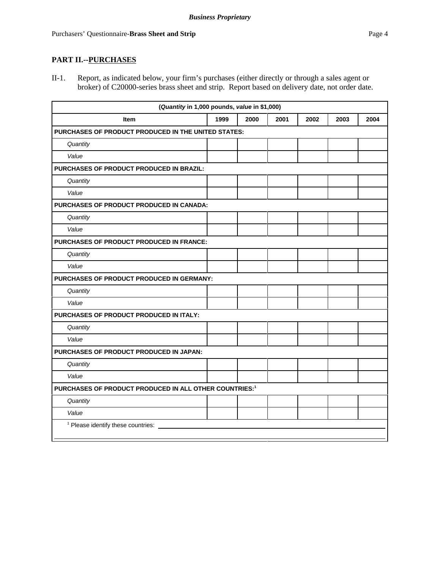# **PART II.--PURCHASES**

II-1. Report, as indicated below, your firm's purchases (either directly or through a sales agent or broker) of C20000-series brass sheet and strip. Report based on delivery date, not order date.

| (Quantity in 1,000 pounds, value in \$1,000)                       |                                          |      |      |      |      |      |
|--------------------------------------------------------------------|------------------------------------------|------|------|------|------|------|
| <b>Item</b>                                                        | 1999                                     | 2000 | 2001 | 2002 | 2003 | 2004 |
| <b>PURCHASES OF PRODUCT PRODUCED IN THE UNITED STATES:</b>         |                                          |      |      |      |      |      |
| Quantity                                                           |                                          |      |      |      |      |      |
| Value                                                              |                                          |      |      |      |      |      |
| PURCHASES OF PRODUCT PRODUCED IN BRAZIL:                           |                                          |      |      |      |      |      |
| Quantity                                                           |                                          |      |      |      |      |      |
| Value                                                              |                                          |      |      |      |      |      |
| PURCHASES OF PRODUCT PRODUCED IN CANADA:                           |                                          |      |      |      |      |      |
| Quantity                                                           |                                          |      |      |      |      |      |
| Value                                                              |                                          |      |      |      |      |      |
|                                                                    | PURCHASES OF PRODUCT PRODUCED IN FRANCE: |      |      |      |      |      |
| Quantity                                                           |                                          |      |      |      |      |      |
| Value                                                              |                                          |      |      |      |      |      |
| PURCHASES OF PRODUCT PRODUCED IN GERMANY:                          |                                          |      |      |      |      |      |
| Quantity                                                           |                                          |      |      |      |      |      |
| Value                                                              |                                          |      |      |      |      |      |
| PURCHASES OF PRODUCT PRODUCED IN ITALY:                            |                                          |      |      |      |      |      |
| Quantity                                                           |                                          |      |      |      |      |      |
| Value                                                              |                                          |      |      |      |      |      |
| PURCHASES OF PRODUCT PRODUCED IN JAPAN:                            |                                          |      |      |      |      |      |
| Quantity                                                           |                                          |      |      |      |      |      |
| Value                                                              |                                          |      |      |      |      |      |
| PURCHASES OF PRODUCT PRODUCED IN ALL OTHER COUNTRIES: <sup>1</sup> |                                          |      |      |      |      |      |
| Quantity                                                           |                                          |      |      |      |      |      |
| Value                                                              |                                          |      |      |      |      |      |
| <sup>1</sup> Please identify these countries:                      |                                          |      |      |      |      |      |
|                                                                    |                                          |      |      |      |      |      |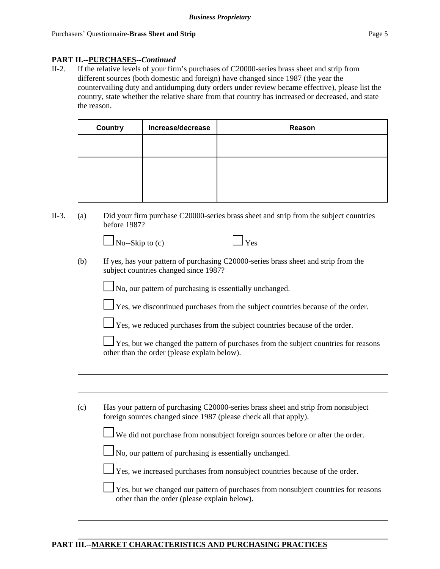### **PART II.--PURCHASES--***Continued*

II-2. If the relative levels of your firm's purchases of C20000-series brass sheet and strip from different sources (both domestic and foreign) have changed since 1987 (the year the countervailing duty and antidumping duty orders under review became effective), please list the country, state whether the relative share from that country has increased or decreased, and state the reason.

| <b>Country</b> | Increase/decrease | Reason |
|----------------|-------------------|--------|
|                |                   |        |
|                |                   |        |
|                |                   |        |
|                |                   |        |
|                |                   |        |
|                |                   |        |

II-3. (a) Did your firm purchase C20000-series brass sheet and strip from the subject countries before 1987?

 $\Box$  No--Skip to (c)  $\Box$  Yes

(b) If yes, has your pattern of purchasing C20000-series brass sheet and strip from the subject countries changed since 1987?

No, our pattern of purchasing is essentially unchanged.

Yes, we discontinued purchases from the subject countries because of the order.



 $\perp$  Yes, we reduced purchases from the subject countries because of the order.

Yes, but we changed the pattern of purchases from the subject countries for reasons other than the order (please explain below).

(c) Has your pattern of purchasing C20000-series brass sheet and strip from nonsubject foreign sources changed since 1987 (please check all that apply).

We did not purchase from nonsubject foreign sources before or after the order.

 $\Box$  No, our pattern of purchasing is essentially unchanged.

Yes, we increased purchases from nonsubject countries because of the order.

 Yes, but we changed our pattern of purchases from nonsubject countries for reasons other than the order (please explain below).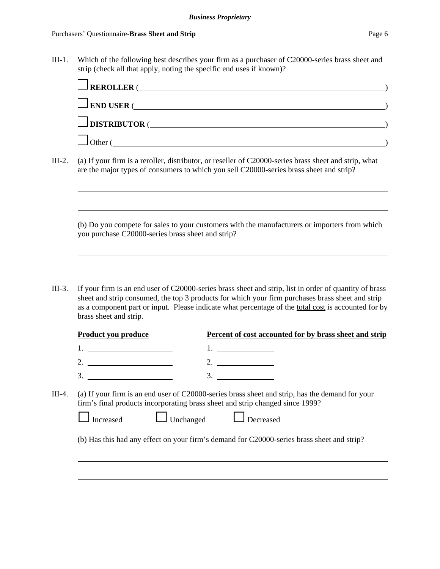III-1. Which of the following best describes your firm as a purchaser of C20000-series brass sheet and strip (check all that apply, noting the specific end uses if known)?

|                                                   | $\blacksquare$ REROLLER (                                                                                                                                                                                                                                                                                         |  |
|---------------------------------------------------|-------------------------------------------------------------------------------------------------------------------------------------------------------------------------------------------------------------------------------------------------------------------------------------------------------------------|--|
|                                                   | $\Box$ END USER ( $\Box$                                                                                                                                                                                                                                                                                          |  |
|                                                   | $\Box$ DISTRIBUTOR (                                                                                                                                                                                                                                                                                              |  |
|                                                   | $\bigcup$ Other (                                                                                                                                                                                                                                                                                                 |  |
|                                                   | (a) If your firm is a reroller, distributor, or reseller of C20000-series brass sheet and strip, what<br>are the major types of consumers to which you sell C20000-series brass sheet and strip?                                                                                                                  |  |
| you purchase C20000-series brass sheet and strip? | (b) Do you compete for sales to your customers with the manufacturers or importers from which                                                                                                                                                                                                                     |  |
| brass sheet and strip.                            | If your firm is an end user of C20000-series brass sheet and strip, list in order of quantity of brass<br>sheet and strip consumed, the top 3 products for which your firm purchases brass sheet and strip<br>as a component part or input. Please indicate what percentage of the total cost is accounted for by |  |
| Product you produce                               | Percent of cost accounted for by brass sheet and strip                                                                                                                                                                                                                                                            |  |
| 2. $\qquad \qquad$                                | 2.                                                                                                                                                                                                                                                                                                                |  |
| 3.                                                |                                                                                                                                                                                                                                                                                                                   |  |
|                                                   |                                                                                                                                                                                                                                                                                                                   |  |
| Increased                                         | 3.<br>(a) If your firm is an end user of C20000-series brass sheet and strip, has the demand for your<br>firm's final products incorporating brass sheet and strip changed since 1999?<br>Unchanged<br>Decreased                                                                                                  |  |
|                                                   | (b) Has this had any effect on your firm's demand for C20000-series brass sheet and strip?                                                                                                                                                                                                                        |  |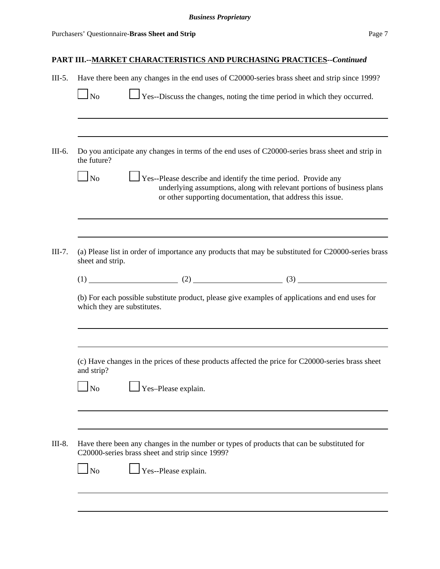| $III-5.$ |                             |                                                 | Have there been any changes in the end uses of C20000-series brass sheet and strip since 1999?                                                                                                                  |
|----------|-----------------------------|-------------------------------------------------|-----------------------------------------------------------------------------------------------------------------------------------------------------------------------------------------------------------------|
|          | $\ln$                       |                                                 | $\exists$ Yes--Discuss the changes, noting the time period in which they occurred.                                                                                                                              |
|          |                             |                                                 |                                                                                                                                                                                                                 |
| III-6.   | the future?                 |                                                 | Do you anticipate any changes in terms of the end uses of C20000-series brass sheet and strip in                                                                                                                |
|          | $\ln$                       |                                                 | $\perp$ Yes--Please describe and identify the time period. Provide any<br>underlying assumptions, along with relevant portions of business plans<br>or other supporting documentation, that address this issue. |
|          |                             |                                                 |                                                                                                                                                                                                                 |
| $III-7.$ | sheet and strip.            |                                                 | (a) Please list in order of importance any products that may be substituted for C20000-series brass                                                                                                             |
|          |                             |                                                 | $(1)$ (1) (2) (2) (3)                                                                                                                                                                                           |
|          | which they are substitutes. |                                                 | (b) For each possible substitute product, please give examples of applications and end uses for                                                                                                                 |
|          |                             |                                                 |                                                                                                                                                                                                                 |
|          | and strip?                  |                                                 | (c) Have changes in the prices of these products affected the price for C20000-series brass sheet                                                                                                               |
|          | N <sub>o</sub>              | Yes-Please explain.                             |                                                                                                                                                                                                                 |
| III-8.   |                             | C20000-series brass sheet and strip since 1999? | Have there been any changes in the number or types of products that can be substituted for                                                                                                                      |
|          | $\Box$ No                   | Yes--Please explain.                            |                                                                                                                                                                                                                 |
|          |                             |                                                 |                                                                                                                                                                                                                 |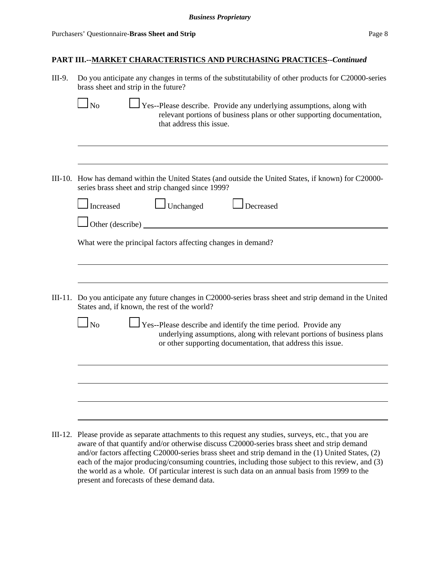| III-9. | Do you anticipate any changes in terms of the substitutability of other products for C20000-series<br>brass sheet and strip in the future?                                                                                                                                                                   |  |  |  |
|--------|--------------------------------------------------------------------------------------------------------------------------------------------------------------------------------------------------------------------------------------------------------------------------------------------------------------|--|--|--|
|        | $\Box$ Yes--Please describe. Provide any underlying assumptions, along with<br><b>No</b><br>relevant portions of business plans or other supporting documentation,<br>that address this issue.                                                                                                               |  |  |  |
|        |                                                                                                                                                                                                                                                                                                              |  |  |  |
|        | III-10. How has demand within the United States (and outside the United States, if known) for C20000-<br>series brass sheet and strip changed since 1999?                                                                                                                                                    |  |  |  |
|        | $\Box$ Unchanged<br>Increased<br>Decreased                                                                                                                                                                                                                                                                   |  |  |  |
|        | Other (describe) _                                                                                                                                                                                                                                                                                           |  |  |  |
|        | What were the principal factors affecting changes in demand?                                                                                                                                                                                                                                                 |  |  |  |
|        |                                                                                                                                                                                                                                                                                                              |  |  |  |
|        |                                                                                                                                                                                                                                                                                                              |  |  |  |
|        | III-11. Do you anticipate any future changes in C20000-series brass sheet and strip demand in the United<br>States and, if known, the rest of the world?                                                                                                                                                     |  |  |  |
|        | N <sub>0</sub><br>Yes--Please describe and identify the time period. Provide any<br>underlying assumptions, along with relevant portions of business plans<br>or other supporting documentation, that address this issue.                                                                                    |  |  |  |
|        |                                                                                                                                                                                                                                                                                                              |  |  |  |
|        |                                                                                                                                                                                                                                                                                                              |  |  |  |
|        |                                                                                                                                                                                                                                                                                                              |  |  |  |
|        | III-12. Please provide as separate attachments to this request any studies, surveys, etc., that you are<br>aware of that quantify and/or otherwise discuss C20000-series brass sheet and strip demand<br>and/or factors affecting $C20000$ -series brass sheet and strip demand in the (1) United States (2) |  |  |  |

and/or factors affecting C20000-series brass sheet and strip demand in the (1) United States, (2) each of the major producing/consuming countries, including those subject to this review, and (3) the world as a whole. Of particular interest is such data on an annual basis from 1999 to the present and forecasts of these demand data.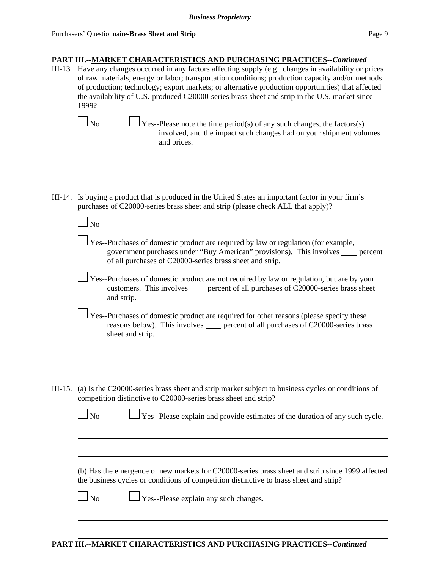III-13. Have any changes occurred in any factors affecting supply (e.g., changes in availability or prices of raw materials, energy or labor; transportation conditions; production capacity and/or methods of production; technology; export markets; or alternative production opportunities) that affected the availability of U.S.-produced C20000-series brass sheet and strip in the U.S. market since 1999?

- $\Box$  Yes--Please note the time period(s) of any such changes, the factors(s) involved, and the impact such changes had on your shipment volumes and prices.
- III-14. Is buying a product that is produced in the United States an important factor in your firm's purchases of C20000-series brass sheet and strip (please check ALL that apply)?

- Yes--Purchases of domestic product are required by law or regulation (for example, government purchases under "Buy American" provisions). This involves supercent of all purchases of C20000-series brass sheet and strip.
- Yes--Purchases of domestic product are not required by law or regulation, but are by your customers. This involves percent of all purchases of C20000-series brass sheet and strip.
- Yes--Purchases of domestic product are required for other reasons (please specify these reasons below). This involves percent of all purchases of C20000-series brass sheet and strip.
- III-15. (a) Is the C20000-series brass sheet and strip market subject to business cycles or conditions of competition distinctive to C20000-series brass sheet and strip?

| Ńо | $\Box$ Yes--Please explain and p |  |  |
|----|----------------------------------|--|--|
|----|----------------------------------|--|--|

 $\blacksquare$ 

provide estimates of the duration of any such cycle.

(b) Has the emergence of new markets for C20000-series brass sheet and strip since 1999 affected the business cycles or conditions of competition distinctive to brass sheet and strip?

 $\Box$  No  $\Box$  Yes--Please explain any such changes.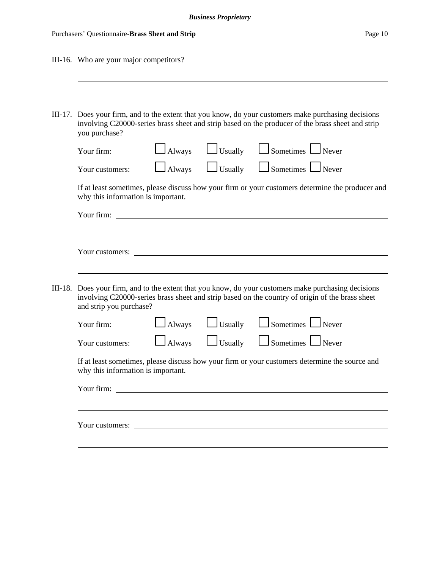| Purchasers' Questionnaire-Brass Sheet and Strip | Page 10 |
|-------------------------------------------------|---------|
|                                                 |         |

| III-16. Who are your major competitors?                                                                                                                                                                                            |  |  |  |  |  |  |
|------------------------------------------------------------------------------------------------------------------------------------------------------------------------------------------------------------------------------------|--|--|--|--|--|--|
|                                                                                                                                                                                                                                    |  |  |  |  |  |  |
| III-17. Does your firm, and to the extent that you know, do your customers make purchasing decisions<br>involving C20000-series brass sheet and strip based on the producer of the brass sheet and strip<br>you purchase?          |  |  |  |  |  |  |
| $\Box$ Sometimes $\Box$ Never<br>$\Box$ Usually<br>$\Box$ Always<br>Your firm:                                                                                                                                                     |  |  |  |  |  |  |
| $\Box$ Sometimes $\Box$ Never<br>$\Box$ Usually<br>$\Box$ Always<br>Your customers:                                                                                                                                                |  |  |  |  |  |  |
| If at least sometimes, please discuss how your firm or your customers determine the producer and<br>why this information is important.                                                                                             |  |  |  |  |  |  |
| <u> 1980 - John Stein, amerikansk politiker (</u><br>Your firm:                                                                                                                                                                    |  |  |  |  |  |  |
|                                                                                                                                                                                                                                    |  |  |  |  |  |  |
|                                                                                                                                                                                                                                    |  |  |  |  |  |  |
|                                                                                                                                                                                                                                    |  |  |  |  |  |  |
| III-18. Does your firm, and to the extent that you know, do your customers make purchasing decisions<br>involving C20000-series brass sheet and strip based on the country of origin of the brass sheet<br>and strip you purchase? |  |  |  |  |  |  |
| $\Box$ Sometimes $\Box$ Never<br>$\Box$ Usually<br><b>Always</b><br>Your firm:                                                                                                                                                     |  |  |  |  |  |  |
| $\Box$ Sometimes $\Box$ Never<br>$\Box$ Usually<br>$\Box$ Always<br>Your customers:                                                                                                                                                |  |  |  |  |  |  |
| If at least sometimes, please discuss how your firm or your customers determine the source and<br>why this information is important.                                                                                               |  |  |  |  |  |  |
| Your firm:                                                                                                                                                                                                                         |  |  |  |  |  |  |
|                                                                                                                                                                                                                                    |  |  |  |  |  |  |
|                                                                                                                                                                                                                                    |  |  |  |  |  |  |
|                                                                                                                                                                                                                                    |  |  |  |  |  |  |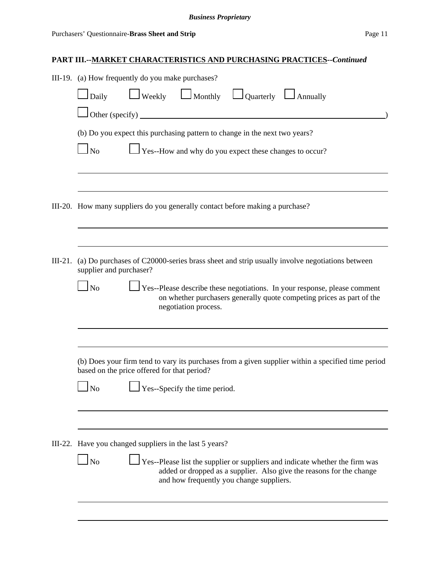|           | III-19. (a) How frequently do you make purchases?                                                                                                                                                                               |  |  |  |  |  |  |  |
|-----------|---------------------------------------------------------------------------------------------------------------------------------------------------------------------------------------------------------------------------------|--|--|--|--|--|--|--|
|           | $\Box$ Weekly $\Box$ Monthly $\Box$ Quarterly $\Box$ Annually<br>Daily                                                                                                                                                          |  |  |  |  |  |  |  |
|           | Other (specify)                                                                                                                                                                                                                 |  |  |  |  |  |  |  |
|           | (b) Do you expect this purchasing pattern to change in the next two years?                                                                                                                                                      |  |  |  |  |  |  |  |
|           | $\Box$ No<br>Yes--How and why do you expect these changes to occur?                                                                                                                                                             |  |  |  |  |  |  |  |
|           |                                                                                                                                                                                                                                 |  |  |  |  |  |  |  |
|           |                                                                                                                                                                                                                                 |  |  |  |  |  |  |  |
|           | III-20. How many suppliers do you generally contact before making a purchase?                                                                                                                                                   |  |  |  |  |  |  |  |
|           |                                                                                                                                                                                                                                 |  |  |  |  |  |  |  |
| $III-21.$ | (a) Do purchases of C20000-series brass sheet and strip usually involve negotiations between<br>supplier and purchaser?                                                                                                         |  |  |  |  |  |  |  |
|           | $\log$<br>$\perp$ Yes--Please describe these negotiations. In your response, please comment                                                                                                                                     |  |  |  |  |  |  |  |
|           | on whether purchasers generally quote competing prices as part of the<br>negotiation process.                                                                                                                                   |  |  |  |  |  |  |  |
|           |                                                                                                                                                                                                                                 |  |  |  |  |  |  |  |
|           | (b) Does your firm tend to vary its purchases from a given supplier within a specified time period<br>based on the price offered for that period?                                                                               |  |  |  |  |  |  |  |
|           | Yes--Specify the time period.<br>N <sub>o</sub>                                                                                                                                                                                 |  |  |  |  |  |  |  |
|           |                                                                                                                                                                                                                                 |  |  |  |  |  |  |  |
|           | III-22. Have you changed suppliers in the last 5 years?                                                                                                                                                                         |  |  |  |  |  |  |  |
|           |                                                                                                                                                                                                                                 |  |  |  |  |  |  |  |
|           | $\overline{\phantom{a}}$ No<br>Yes--Please list the supplier or suppliers and indicate whether the firm was<br>added or dropped as a supplier. Also give the reasons for the change<br>and how frequently you change suppliers. |  |  |  |  |  |  |  |
|           |                                                                                                                                                                                                                                 |  |  |  |  |  |  |  |
|           |                                                                                                                                                                                                                                 |  |  |  |  |  |  |  |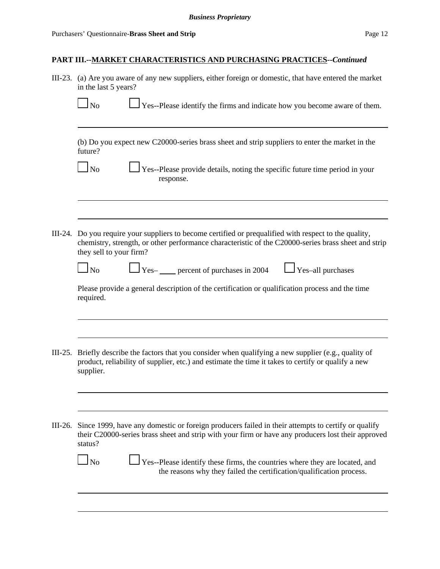|           | III-23. (a) Are you aware of any new suppliers, either foreign or domestic, that have entered the market<br>in the last 5 years?                                                                                                         |  |  |  |  |  |  |  |
|-----------|------------------------------------------------------------------------------------------------------------------------------------------------------------------------------------------------------------------------------------------|--|--|--|--|--|--|--|
|           | $\Box$ Yes--Please identify the firms and indicate how you become aware of them.<br>$\log$                                                                                                                                               |  |  |  |  |  |  |  |
|           | (b) Do you expect new C20000-series brass sheet and strip suppliers to enter the market in the<br>future?                                                                                                                                |  |  |  |  |  |  |  |
|           | $\Box$ No<br>Yes--Please provide details, noting the specific future time period in your<br>response.                                                                                                                                    |  |  |  |  |  |  |  |
|           |                                                                                                                                                                                                                                          |  |  |  |  |  |  |  |
|           | III-24. Do you require your suppliers to become certified or prequalified with respect to the quality,<br>chemistry, strength, or other performance characteristic of the C20000-series brass sheet and strip<br>they sell to your firm? |  |  |  |  |  |  |  |
|           | $\Box$ Yes- _____ percent of purchases in 2004<br>$\Box$ Yes-all purchases<br>$\Box$ No                                                                                                                                                  |  |  |  |  |  |  |  |
|           | Please provide a general description of the certification or qualification process and the time<br>required.                                                                                                                             |  |  |  |  |  |  |  |
|           |                                                                                                                                                                                                                                          |  |  |  |  |  |  |  |
| $III-25.$ | Briefly describe the factors that you consider when qualifying a new supplier (e.g., quality of<br>product, reliability of supplier, etc.) and estimate the time it takes to certify or qualify a new<br>supplier.                       |  |  |  |  |  |  |  |
|           |                                                                                                                                                                                                                                          |  |  |  |  |  |  |  |
|           | III-26. Since 1999, have any domestic or foreign producers failed in their attempts to certify or qualify<br>their C20000-series brass sheet and strip with your firm or have any producers lost their approved<br>status?               |  |  |  |  |  |  |  |
|           | $\Box$ No<br>Yes--Please identify these firms, the countries where they are located, and<br>the reasons why they failed the certification/qualification process.                                                                         |  |  |  |  |  |  |  |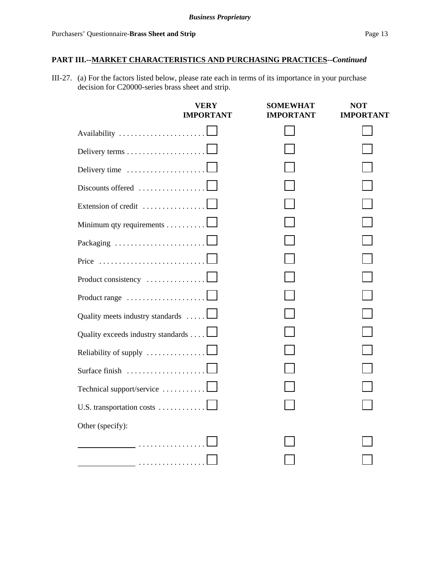III-27. (a) For the factors listed below, please rate each in terms of its importance in your purchase decision for C20000-series brass sheet and strip.

|                                                           | VERY<br>IMPORTANT | <b>SOMEWHAT</b><br>IMPORTANT | NOT<br><b>IMPORTANT</b> |
|-----------------------------------------------------------|-------------------|------------------------------|-------------------------|
| Availability                                              |                   |                              |                         |
|                                                           |                   |                              |                         |
| Delivery time                                             |                   |                              |                         |
| Discounts offered                                         |                   |                              |                         |
| Extension of credit $\dots\dots\dots\dots\dots\dots$      |                   |                              |                         |
| Minimum qty requirements 1                                |                   |                              |                         |
| Packaging                                                 |                   |                              |                         |
| Price                                                     |                   |                              |                         |
| Product consistency                                       |                   |                              |                         |
| Product range $\ldots \ldots \ldots \ldots \ldots \ldots$ |                   |                              |                         |
| Quality meets industry standards                          |                   |                              |                         |
| Quality exceeds industry standards                        |                   |                              |                         |
| Reliability of supply                                     |                   |                              |                         |
| Surface finish                                            |                   |                              |                         |
| Technical support/service                                 |                   |                              |                         |
| U.S. transportation costs                                 |                   |                              |                         |
| Other (specify):                                          |                   |                              |                         |
|                                                           |                   |                              |                         |
|                                                           |                   |                              |                         |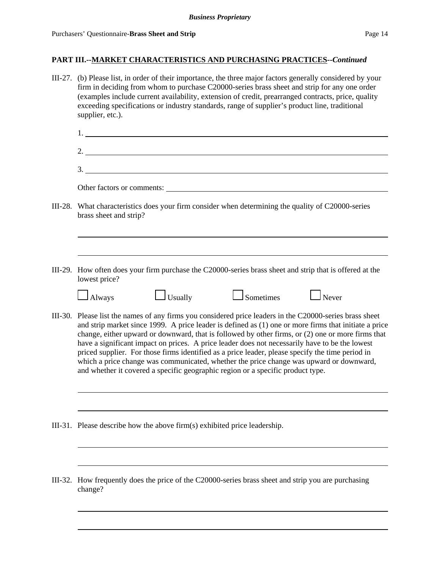|         | III-27. (b) Please list, in order of their importance, the three major factors generally considered by your<br>firm in deciding from whom to purchase C20000-series brass sheet and strip for any one order<br>(examples include current availability, extension of credit, prearranged contracts, price, quality<br>exceeding specifications or industry standards, range of supplier's product line, traditional<br>supplier, etc.). |                                                                           |                                                                                                                                                                                                                                                                                                                                                                                  |                                                                                                                                                                                                                                                                                                                        |  |  |
|---------|----------------------------------------------------------------------------------------------------------------------------------------------------------------------------------------------------------------------------------------------------------------------------------------------------------------------------------------------------------------------------------------------------------------------------------------|---------------------------------------------------------------------------|----------------------------------------------------------------------------------------------------------------------------------------------------------------------------------------------------------------------------------------------------------------------------------------------------------------------------------------------------------------------------------|------------------------------------------------------------------------------------------------------------------------------------------------------------------------------------------------------------------------------------------------------------------------------------------------------------------------|--|--|
|         |                                                                                                                                                                                                                                                                                                                                                                                                                                        |                                                                           |                                                                                                                                                                                                                                                                                                                                                                                  |                                                                                                                                                                                                                                                                                                                        |  |  |
|         |                                                                                                                                                                                                                                                                                                                                                                                                                                        |                                                                           |                                                                                                                                                                                                                                                                                                                                                                                  |                                                                                                                                                                                                                                                                                                                        |  |  |
|         |                                                                                                                                                                                                                                                                                                                                                                                                                                        |                                                                           |                                                                                                                                                                                                                                                                                                                                                                                  | 3.                                                                                                                                                                                                                                                                                                                     |  |  |
|         |                                                                                                                                                                                                                                                                                                                                                                                                                                        |                                                                           | Other factors or comments:                                                                                                                                                                                                                                                                                                                                                       |                                                                                                                                                                                                                                                                                                                        |  |  |
|         | brass sheet and strip?                                                                                                                                                                                                                                                                                                                                                                                                                 |                                                                           | III-28. What characteristics does your firm consider when determining the quality of C20000-series                                                                                                                                                                                                                                                                               |                                                                                                                                                                                                                                                                                                                        |  |  |
|         |                                                                                                                                                                                                                                                                                                                                                                                                                                        |                                                                           |                                                                                                                                                                                                                                                                                                                                                                                  |                                                                                                                                                                                                                                                                                                                        |  |  |
|         | lowest price?                                                                                                                                                                                                                                                                                                                                                                                                                          |                                                                           |                                                                                                                                                                                                                                                                                                                                                                                  | III-29. How often does your firm purchase the C20000-series brass sheet and strip that is offered at the                                                                                                                                                                                                               |  |  |
|         | $\Box$ Always                                                                                                                                                                                                                                                                                                                                                                                                                          | $\Box$ Usually                                                            | Sometimes Rever                                                                                                                                                                                                                                                                                                                                                                  |                                                                                                                                                                                                                                                                                                                        |  |  |
|         |                                                                                                                                                                                                                                                                                                                                                                                                                                        |                                                                           | have a significant impact on prices. A price leader does not necessarily have to be the lowest<br>priced supplier. For those firms identified as a price leader, please specify the time period in<br>which a price change was communicated, whether the price change was upward or downward,<br>and whether it covered a specific geographic region or a specific product type. | III-30. Please list the names of any firms you considered price leaders in the C20000-series brass sheet<br>and strip market since 1999. A price leader is defined as (1) one or more firms that initiate a price<br>change, either upward or downward, that is followed by other firms, or (2) one or more firms that |  |  |
|         |                                                                                                                                                                                                                                                                                                                                                                                                                                        | III-31. Please describe how the above firm(s) exhibited price leadership. |                                                                                                                                                                                                                                                                                                                                                                                  |                                                                                                                                                                                                                                                                                                                        |  |  |
|         |                                                                                                                                                                                                                                                                                                                                                                                                                                        |                                                                           |                                                                                                                                                                                                                                                                                                                                                                                  |                                                                                                                                                                                                                                                                                                                        |  |  |
| III-32. | change?                                                                                                                                                                                                                                                                                                                                                                                                                                |                                                                           | How frequently does the price of the C20000-series brass sheet and strip you are purchasing                                                                                                                                                                                                                                                                                      |                                                                                                                                                                                                                                                                                                                        |  |  |
|         |                                                                                                                                                                                                                                                                                                                                                                                                                                        |                                                                           |                                                                                                                                                                                                                                                                                                                                                                                  |                                                                                                                                                                                                                                                                                                                        |  |  |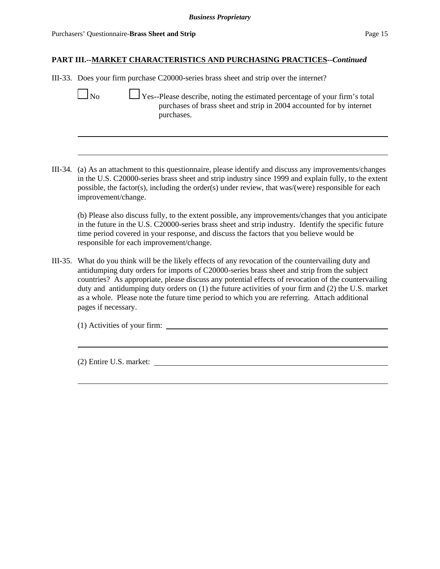III-33. Does your firm purchase C20000-series brass sheet and strip over the internet?

No  $\Box$  Yes--Please describe, noting the estimated percentage of your firm's total purchases of brass sheet and strip in 2004 accounted for by internet purchases.

III-34. (a) As an attachment to this questionnaire, please identify and discuss any improvements/changes in the U.S. C20000-series brass sheet and strip industry since 1999 and explain fully, to the extent possible, the factor(s), including the order(s) under review, that was/(were) responsible for each improvement/change.

(b) Please also discuss fully, to the extent possible, any improvements/changes that you anticipate in the future in the U.S. C20000-series brass sheet and strip industry. Identify the specific future time period covered in your response, and discuss the factors that you believe would be responsible for each improvement/change.

III-35. What do you think will be the likely effects of any revocation of the countervailing duty and antidumping duty orders for imports of C20000-series brass sheet and strip from the subject countries? As appropriate, please discuss any potential effects of revocation of the countervailing duty and antidumping duty orders on (1) the future activities of your firm and (2) the U.S. market as a whole. Please note the future time period to which you are referring. Attach additional pages if necessary.

(1) Activities of your firm:

(2) Entire U.S. market: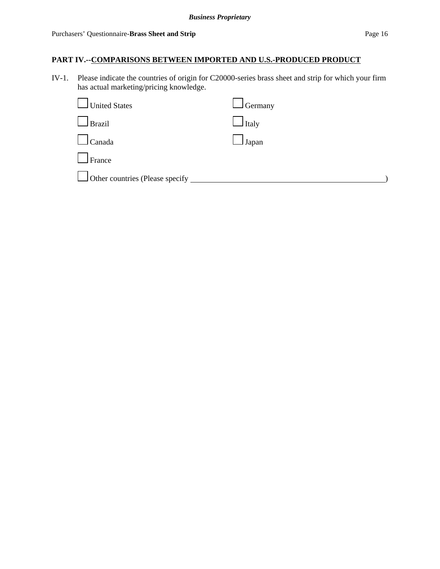IV-1. Please indicate the countries of origin for C20000-series brass sheet and strip for which your firm has actual marketing/pricing knowledge.

| United States                          | $\Box$ Germany |
|----------------------------------------|----------------|
| $l$ Brazil                             | $\Box$ Italy   |
| $\Box$ Canada                          | $\Box$ Japan   |
| $I$ France                             |                |
| $\Box$ Other countries (Please specify |                |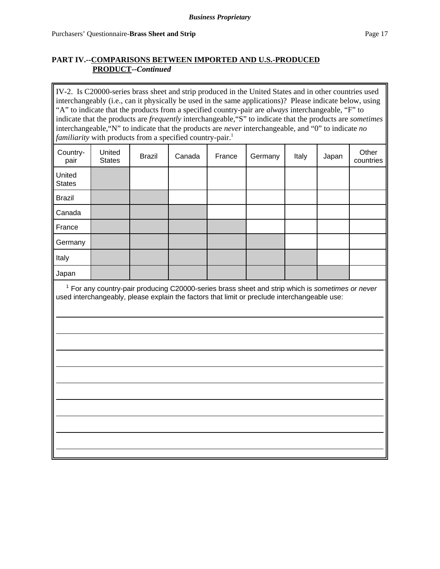IV-2. Is C20000-series brass sheet and strip produced in the United States and in other countries used interchangeably (i.e., can it physically be used in the same applications)? Please indicate below, using "A" to indicate that the products from a specified country-pair are *always* interchangeable, "F" to indicate that the products are *frequently* interchangeable,"S" to indicate that the products are *sometimes* interchangeable,"N" to indicate that the products are *never* interchangeable, and "0" to indicate *no familiarity* with products from a specified country-pair.<sup>1</sup>

| Country-<br>pair        | United<br><b>States</b> | <b>Brazil</b> | Canada | France | Germany | Italy | Japan | Other<br>countries |
|-------------------------|-------------------------|---------------|--------|--------|---------|-------|-------|--------------------|
| United<br><b>States</b> |                         |               |        |        |         |       |       |                    |
| <b>Brazil</b>           |                         |               |        |        |         |       |       |                    |
| Canada                  |                         |               |        |        |         |       |       |                    |
| France                  |                         |               |        |        |         |       |       |                    |
| Germany                 |                         |               |        |        |         |       |       |                    |
| Italy                   |                         |               |        |        |         |       |       |                    |
| Japan                   |                         |               |        |        |         |       |       |                    |

 <sup>1</sup> For any country-pair producing C20000-series brass sheet and strip which is *sometimes or never* used interchangeably, please explain the factors that limit or preclude interchangeable use: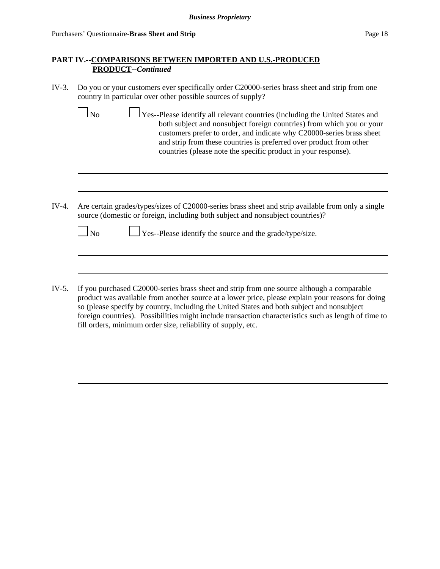- IV-3. Do you or your customers ever specifically order C20000-series brass sheet and strip from one country in particular over other possible sources of supply?
	- $\Box$  No  $\Box$  Yes--Please identify all relevant countries (including the United States and both subject and nonsubject foreign countries) from which you or your customers prefer to order, and indicate why C20000-series brass sheet and strip from these countries is preferred over product from other countries (please note the specific product in your response).
- IV-4. Are certain grades/types/sizes of C20000-series brass sheet and strip available from only a single source (domestic or foreign, including both subject and nonsubject countries)?

| $\Box$ No | $\Box$ Yes--Please identify the source and the grade/type/size. |
|-----------|-----------------------------------------------------------------|
|-----------|-----------------------------------------------------------------|

IV-5. If you purchased C20000-series brass sheet and strip from one source although a comparable product was available from another source at a lower price, please explain your reasons for doing so (please specify by country, including the United States and both subject and nonsubject foreign countries). Possibilities might include transaction characteristics such as length of time to fill orders, minimum order size, reliability of supply, etc.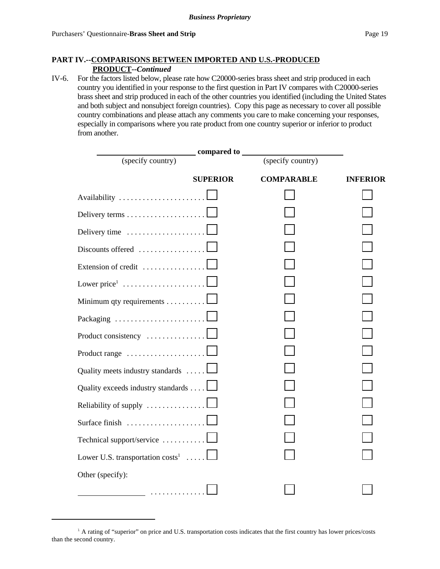IV-6. For the factors listed below, please rate how C20000-series brass sheet and strip produced in each country you identified in your response to the first question in Part IV compares with C20000-series brass sheet and strip produced in each of the other countries you identified (including the United States and both subject and nonsubject foreign countries). Copy this page as necessary to cover all possible country combinations and please attach any comments you care to make concerning your responses, especially in comparisons where you rate product from one country superior or inferior to product from another.

|                                     | compared to     |                   |                 |
|-------------------------------------|-----------------|-------------------|-----------------|
| (specify country)                   |                 | (specify country) |                 |
|                                     | <b>SUPERIOR</b> | <b>COMPARABLE</b> | <b>INFERIOR</b> |
| Availability                        |                 |                   |                 |
|                                     |                 |                   |                 |
| Delivery time                       |                 |                   |                 |
| Discounts offered                   |                 |                   |                 |
| Extension of credit                 |                 |                   |                 |
| Lower price <sup>1</sup>            |                 |                   |                 |
| Minimum qty requirements            |                 |                   |                 |
| Packaging                           |                 |                   |                 |
| Product consistency                 |                 |                   |                 |
| Product range                       |                 |                   |                 |
| Quality meets industry standards    |                 |                   |                 |
| Quality exceeds industry standards  |                 |                   |                 |
| Reliability of supply               |                 |                   |                 |
| Surface finish                      |                 |                   |                 |
| Technical support/service           |                 |                   |                 |
| Lower U.S. transportation $costs^1$ |                 |                   |                 |
| Other (specify):                    |                 |                   |                 |
| _ <b></b>                           |                 |                   |                 |

<sup>&</sup>lt;sup>1</sup> A rating of "superior" on price and U.S. transportation costs indicates that the first country has lower prices/costs than the second country.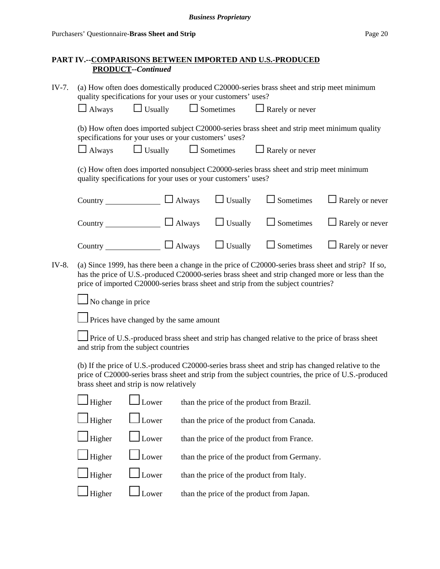| $IV-7.$ |                                                                                                                                                                                                                                                                                              |                                                               | (a) How often does domestically produced C20000-series brass sheet and strip meet minimum<br>quality specifications for your uses or your customers' uses?                                               |                  |                                                                                              |                        |  |  |  |
|---------|----------------------------------------------------------------------------------------------------------------------------------------------------------------------------------------------------------------------------------------------------------------------------------------------|---------------------------------------------------------------|----------------------------------------------------------------------------------------------------------------------------------------------------------------------------------------------------------|------------------|----------------------------------------------------------------------------------------------|------------------------|--|--|--|
|         | $\Box$ Always                                                                                                                                                                                                                                                                                | $\Box$ Usually                                                |                                                                                                                                                                                                          | $\Box$ Sometimes | $\Box$ Rarely or never                                                                       |                        |  |  |  |
|         |                                                                                                                                                                                                                                                                                              | specifications for your uses or your customers' uses?         |                                                                                                                                                                                                          |                  | (b) How often does imported subject C20000-series brass sheet and strip meet minimum quality |                        |  |  |  |
|         | $\Box$ Always                                                                                                                                                                                                                                                                                | $\Box$ Usually                                                |                                                                                                                                                                                                          | $\Box$ Sometimes | $\Box$ Rarely or never                                                                       |                        |  |  |  |
|         |                                                                                                                                                                                                                                                                                              | quality specifications for your uses or your customers' uses? |                                                                                                                                                                                                          |                  | (c) How often does imported nonsubject C20000-series brass sheet and strip meet minimum      |                        |  |  |  |
|         |                                                                                                                                                                                                                                                                                              | Country $\Box$ Always                                         |                                                                                                                                                                                                          | $\Box$ Usually   | $\Box$ Sometimes                                                                             | $\Box$ Rarely or never |  |  |  |
|         |                                                                                                                                                                                                                                                                                              | Country $\Box$ Always                                         |                                                                                                                                                                                                          | $\Box$ Usually   | $\Box$ Sometimes                                                                             | $\Box$ Rarely or never |  |  |  |
|         |                                                                                                                                                                                                                                                                                              | Country $\Box$ Always                                         |                                                                                                                                                                                                          | $\Box$ Usually   | $\Box$ Sometimes                                                                             | $\Box$ Rarely or never |  |  |  |
| IV-8.   | (a) Since 1999, has there been a change in the price of C20000-series brass sheet and strip? If so,<br>has the price of U.S.-produced C20000-series brass sheet and strip changed more or less than the<br>price of imported C20000-series brass sheet and strip from the subject countries? |                                                               |                                                                                                                                                                                                          |                  |                                                                                              |                        |  |  |  |
|         | No change in price                                                                                                                                                                                                                                                                           |                                                               |                                                                                                                                                                                                          |                  |                                                                                              |                        |  |  |  |
|         |                                                                                                                                                                                                                                                                                              |                                                               | Prices have changed by the same amount                                                                                                                                                                   |                  |                                                                                              |                        |  |  |  |
|         |                                                                                                                                                                                                                                                                                              | and strip from the subject countries                          | Price of U.S.-produced brass sheet and strip has changed relative to the price of brass sheet                                                                                                            |                  |                                                                                              |                        |  |  |  |
|         |                                                                                                                                                                                                                                                                                              | brass sheet and strip is now relatively                       | (b) If the price of U.S.-produced C20000-series brass sheet and strip has changed relative to the<br>price of C20000-series brass sheet and strip from the subject countries, the price of U.S.-produced |                  |                                                                                              |                        |  |  |  |
|         | Higher                                                                                                                                                                                                                                                                                       | Lower                                                         |                                                                                                                                                                                                          |                  | than the price of the product from Brazil.                                                   |                        |  |  |  |
|         | Higher                                                                                                                                                                                                                                                                                       | Lower                                                         |                                                                                                                                                                                                          |                  | than the price of the product from Canada.                                                   |                        |  |  |  |
|         | Higher                                                                                                                                                                                                                                                                                       | Lower                                                         |                                                                                                                                                                                                          |                  | than the price of the product from France.                                                   |                        |  |  |  |
|         | Higher                                                                                                                                                                                                                                                                                       | Lower                                                         |                                                                                                                                                                                                          |                  | than the price of the product from Germany.                                                  |                        |  |  |  |
|         | Higher                                                                                                                                                                                                                                                                                       | Lower                                                         |                                                                                                                                                                                                          |                  | than the price of the product from Italy.                                                    |                        |  |  |  |
|         | Higher                                                                                                                                                                                                                                                                                       | Lower                                                         |                                                                                                                                                                                                          |                  | than the price of the product from Japan.                                                    |                        |  |  |  |
|         |                                                                                                                                                                                                                                                                                              |                                                               |                                                                                                                                                                                                          |                  |                                                                                              |                        |  |  |  |